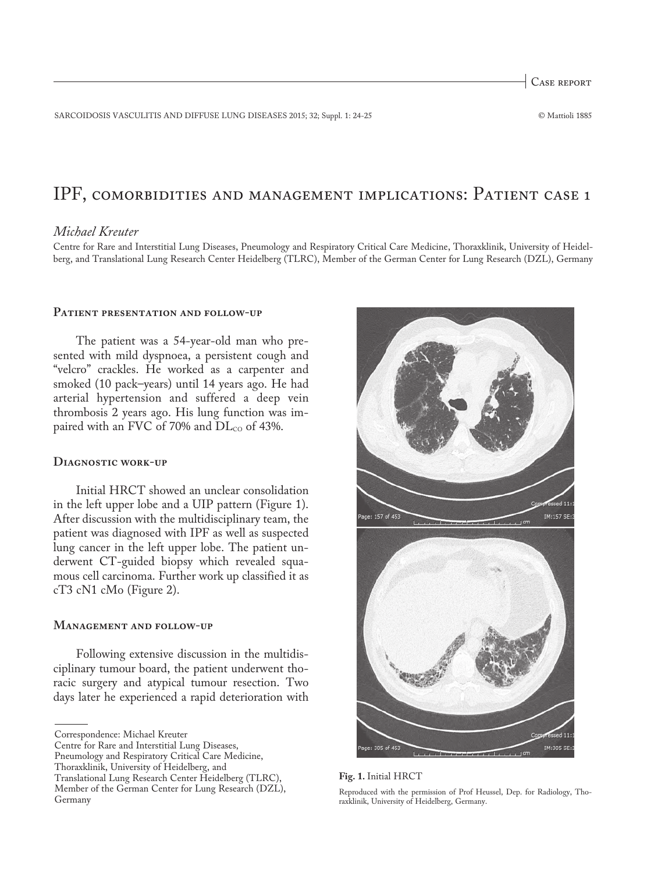Case report

SARCOIDOSIS VASCULITIS AND DIFFUSE LUNG DISEASES 2015; 32; Suppl. 1: 24-25 © Mattioli 1885

# IPF, comorbidities and management implications: Patient case 1

# *Michael Kreuter*

Centre for Rare and Interstitial Lung Diseases, Pneumology and Respiratory Critical Care Medicine, Thoraxklinik, University of Heidelberg, and Translational Lung Research Center Heidelberg (TLRC), Member of the German Center for Lung Research (DZL), Germany

# **Patient presentation and follow-up**

The patient was a 54-year-old man who presented with mild dyspnoea, a persistent cough and "velcro" crackles. He worked as a carpenter and smoked (10 pack–years) until 14 years ago. He had arterial hypertension and suffered a deep vein thrombosis 2 years ago. His lung function was impaired with an FVC of 70% and  $DL_{CO}$  of 43%.

#### **Diagnostic work-up**

Initial HRCT showed an unclear consolidation in the left upper lobe and a UIP pattern (Figure 1). After discussion with the multidisciplinary team, the patient was diagnosed with IPF as well as suspected lung cancer in the left upper lobe. The patient underwent CT-guided biopsy which revealed squamous cell carcinoma. Further work up classified it as cT3 cN1 cMo (Figure 2).

### **Management and follow-up**

Following extensive discussion in the multidisciplinary tumour board, the patient underwent thoracic surgery and atypical tumour resection. Two days later he experienced a rapid deterioration with

Centre for Rare and Interstitial Lung Diseases,

Thoraxklinik, University of Heidelberg, and



**Fig. 1.** Initial HRCT

Reproduced with the permission of Prof Heussel, Dep. for Radiology, Thoraxklinik, University of Heidelberg, Germany.

Correspondence: Michael Kreuter

Pneumology and Respiratory Critical Care Medicine,

Translational Lung Research Center Heidelberg (TLRC), Member of the German Center for Lung Research (DZL), Germany